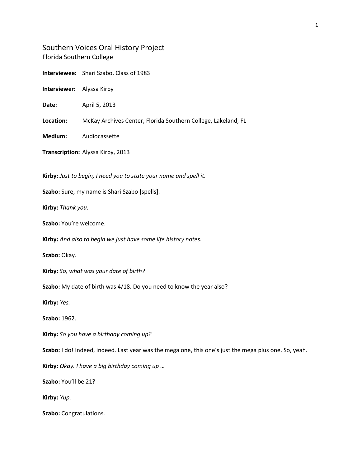Southern Voices Oral History Project Florida Southern College

**Interviewee:** Shari Szabo, Class of 1983

**Interviewer:** Alyssa Kirby

**Date:** April 5, 2013

**Location:** McKay Archives Center, Florida Southern College, Lakeland, FL

**Medium:** Audiocassette

**Transcription:** Alyssa Kirby, 2013

**Kirby:** *Just to begin, I need you to state your name and spell it.*

**Szabo:** Sure, my name is Shari Szabo [spells].

**Kirby:** *Thank you.*

**Szabo:** You're welcome.

**Kirby:** *And also to begin we just have some life history notes.*

**Szabo:** Okay.

**Kirby:** *So, what was your date of birth?*

**Szabo:** My date of birth was 4/18. Do you need to know the year also?

**Kirby:** *Yes.*

**Szabo:** 1962.

**Kirby:** *So you have a birthday coming up?*

**Szabo:** I do! Indeed, indeed. Last year was the mega one, this one's just the mega plus one. So, yeah.

**Kirby:** *Okay. I have a big birthday coming up …*

**Szabo:** You'll be 21?

**Kirby:** *Yup.*

**Szabo:** Congratulations.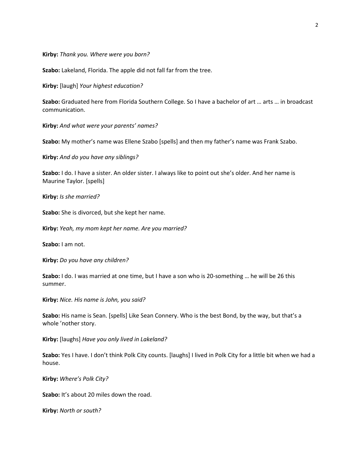**Kirby:** *Thank you. Where were you born?*

**Szabo:** Lakeland, Florida. The apple did not fall far from the tree.

**Kirby:** [laugh] *Your highest education?*

**Szabo:** Graduated here from Florida Southern College. So I have a bachelor of art … arts … in broadcast communication.

**Kirby:** *And what were your parents' names?*

**Szabo:** My mother's name was Ellene Szabo [spells] and then my father's name was Frank Szabo.

**Kirby:** *And do you have any siblings?*

**Szabo:** I do. I have a sister. An older sister. I always like to point out she's older. And her name is Maurine Taylor. [spells]

**Kirby:** *Is she married?*

**Szabo:** She is divorced, but she kept her name.

**Kirby:** *Yeah, my mom kept her name. Are you married?*

**Szabo:** I am not.

**Kirby:** *Do you have any children?*

**Szabo:** I do. I was married at one time, but I have a son who is 20-something … he will be 26 this summer.

**Kirby:** *Nice. His name is John, you said?*

**Szabo:** His name is Sean. [spells] Like Sean Connery. Who is the best Bond, by the way, but that's a whole 'nother story.

**Kirby:** [laughs] *Have you only lived in Lakeland?*

**Szabo:** Yes I have. I don't think Polk City counts. [laughs] I lived in Polk City for a little bit when we had a house.

**Kirby:** *Where's Polk City?*

**Szabo:** It's about 20 miles down the road.

**Kirby:** *North or south?*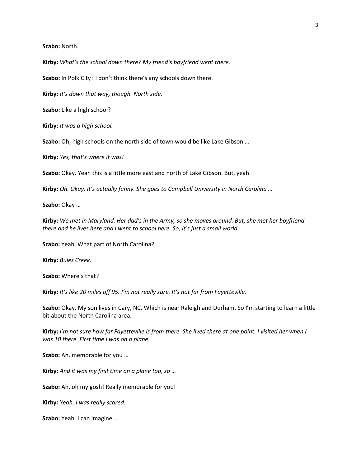**Szabo:** North.

**Kirby:** *What's the school down there? My friend's boyfriend went there.*

**Szabo:** In Polk City? I don't think there's any schools down there.

**Kirby:** *It's down that way, though. North side.*

**Szabo:** Like a high school?

**Kirby:** *It was a high school.*

**Szabo:** Oh, high schools on the north side of town would be like Lake Gibson …

**Kirby:** *Yes, that's where it was!*

**Szabo:** Okay. Yeah this is a little more east and north of Lake Gibson. But, yeah.

**Kirby:** *Oh. Okay. It's actually funny. She goes to Campbell University in North Carolina …*

**Szabo:** Okay …

**Kirby:** *We met in Maryland. Her dad's in the Army, so she moves around. But, she met her boyfriend there and he lives here and I went to school here. So, it's just a small world.*

**Szabo:** Yeah. What part of North Carolina?

**Kirby:** *Buies Creek.*

**Szabo:** Where's that?

**Kirby:** *It's like 20 miles off 95. I'm not really sure. It's not far from Fayetteville.*

**Szabo:** Okay. My son lives in Cary, NC. Which is near Raleigh and Durham. So I'm starting to learn a little bit about the North Carolina area.

**Kirby:** *I'm not sure how far Fayetteville is from there. She lived there at one point. I visited her when I was 10 there. First time I was on a plane.*

**Szabo:** Ah, memorable for you …

**Kirby:** *And it was my first time on a plane too, so …*

**Szabo:** Ah, oh my gosh! Really memorable for you!

**Kirby:** *Yeah, I was really scared.*

**Szabo:** Yeah, I can imagine …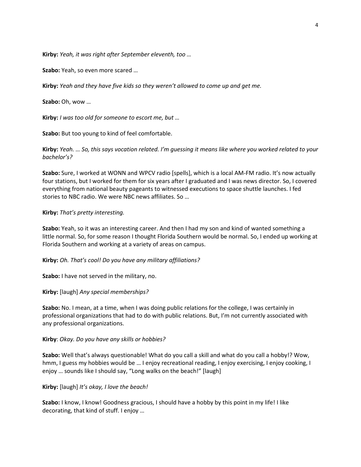**Kirby:** *Yeah, it was right after September eleventh, too …*

**Szabo:** Yeah, so even more scared …

**Kirby:** *Yeah and they have five kids so they weren't allowed to come up and get me.*

**Szabo:** Oh, wow …

**Kirby:** *I was too old for someone to escort me, but …*

**Szabo:** But too young to kind of feel comfortable.

**Kirby:** *Yeah. … So, this says vocation related. I'm guessing it means like where you worked related to your bachelor's?*

**Szabo:** Sure, I worked at WONN and WPCV radio [spells], which is a local AM-FM radio. It's now actually four stations, but I worked for them for six years after I graduated and I was news director. So, I covered everything from national beauty pageants to witnessed executions to space shuttle launches. I fed stories to NBC radio. We were NBC news affiliates. So …

#### **Kirby:** *That's pretty interesting.*

**Szabo:** Yeah, so it was an interesting career. And then I had my son and kind of wanted something a little normal. So, for some reason I thought Florida Southern would be normal. So, I ended up working at Florida Southern and working at a variety of areas on campus.

**Kirby:** *Oh. That's cool! Do you have any military affiliations?*

**Szabo:** I have not served in the military, no.

**Kirby:** [laugh] *Any special memberships?*

**Szabo:** No. I mean, at a time, when I was doing public relations for the college, I was certainly in professional organizations that had to do with public relations. But, I'm not currently associated with any professional organizations.

#### **Kirby**: *Okay. Do you have any skills or hobbies?*

**Szabo:** Well that's always questionable! What do you call a skill and what do you call a hobby!? Wow, hmm, I guess my hobbies would be ... I enjoy recreational reading, I enjoy exercising, I enjoy cooking, I enjoy … sounds like I should say, "Long walks on the beach!" [laugh]

**Kirby:** [laugh] *It's okay, I love the beach!*

**Szabo:** I know, I know! Goodness gracious, I should have a hobby by this point in my life! I like decorating, that kind of stuff. I enjoy …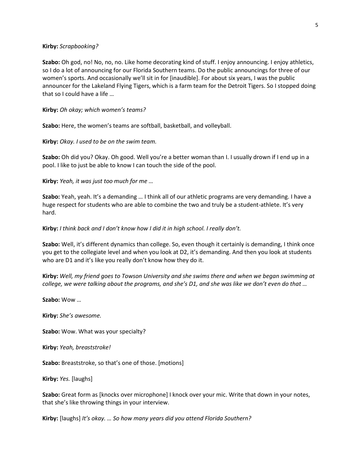#### **Kirby:** *Scrapbooking?*

**Szabo:** Oh god, no! No, no, no. Like home decorating kind of stuff. I enjoy announcing. I enjoy athletics, so I do a lot of announcing for our Florida Southern teams. Do the public announcings for three of our women's sports. And occasionally we'll sit in for [inaudible]. For about six years, I was the public announcer for the Lakeland Flying Tigers, which is a farm team for the Detroit Tigers. So I stopped doing that so I could have a life …

**Kirby:** *Oh okay; which women's teams?*

**Szabo:** Here, the women's teams are softball, basketball, and volleyball.

**Kirby:** *Okay. I used to be on the swim team.*

**Szabo:** Oh did you? Okay. Oh good. Well you're a better woman than I. I usually drown if I end up in a pool. I like to just be able to know I can touch the side of the pool.

**Kirby:** *Yeah, it was just too much for me …*

**Szabo:** Yeah, yeah. It's a demanding … I think all of our athletic programs are very demanding. I have a huge respect for students who are able to combine the two and truly be a student-athlete. It's very hard.

#### **Kirby:** *I think back and I don't know how I did it in high school. I really don't.*

**Szabo:** Well, it's different dynamics than college. So, even though it certainly is demanding, I think once you get to the collegiate level and when you look at D2, it's demanding. And then you look at students who are D1 and it's like you really don't know how they do it.

**Kirby:** *Well, my friend goes to Towson University and she swims there and when we began swimming at college, we were talking about the programs, and she's D1, and she was like we don't even do that …*

**Szabo:** Wow …

**Kirby:** *She's awesome.*

**Szabo:** Wow. What was your specialty?

**Kirby:** *Yeah, breaststroke!*

**Szabo:** Breaststroke, so that's one of those. [motions]

**Kirby:** *Yes.* [laughs]

**Szabo:** Great form as [knocks over microphone] I knock over your mic. Write that down in your notes, that she's like throwing things in your interview.

**Kirby:** [laughs] *It's okay. … So how many years did you attend Florida Southern?*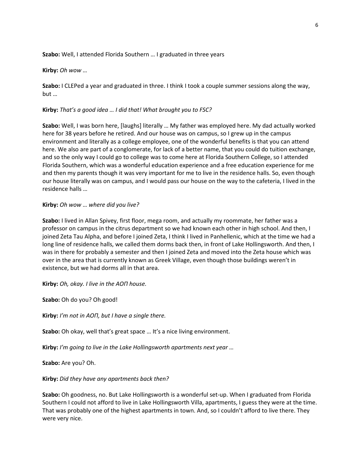#### **Szabo:** Well, I attended Florida Southern … I graduated in three years

**Kirby:** *Oh wow …*

**Szabo:** I CLEPed a year and graduated in three. I think I took a couple summer sessions along the way, but …

**Kirby:** *That's a good idea … I did that! What brought you to FSC?*

**Szabo:** Well, I was born here, [laughs] literally … My father was employed here. My dad actually worked here for 38 years before he retired. And our house was on campus, so I grew up in the campus environment and literally as a college employee, one of the wonderful benefits is that you can attend here. We also are part of a conglomerate, for lack of a better name, that you could do tuition exchange, and so the only way I could go to college was to come here at Florida Southern College, so I attended Florida Southern, which was a wonderful education experience and a free education experience for me and then my parents though it was very important for me to live in the residence halls. So, even though our house literally was on campus, and I would pass our house on the way to the cafeteria, I lived in the residence halls …

#### **Kirby:** *Oh wow … where did you live?*

**Szabo:** I lived in Allan Spivey, first floor, mega room, and actually my roommate, her father was a professor on campus in the citrus department so we had known each other in high school. And then, I joined Zeta Tau Alpha, and before I joined Zeta, I think I lived in Panhellenic, which at the time we had a long line of residence halls, we called them dorms back then, in front of Lake Hollingsworth. And then, I was in there for probably a semester and then I joined Zeta and moved into the Zeta house which was over in the area that is currently known as Greek Village, even though those buildings weren't in existence, but we had dorms all in that area.

**Kirby:** *Oh, okay. I live in the AOΠ house.*

**Szabo:** Oh do you? Oh good!

**Kirby:** *I'm not in AOΠ, but I have a single there.*

**Szabo:** Oh okay, well that's great space … It's a nice living environment.

**Kirby:** *I'm going to live in the Lake Hollingsworth apartments next year …*

**Szabo:** Are you? Oh.

**Kirby:** *Did they have any apartments back then?*

**Szabo:** Oh goodness, no. But Lake Hollingsworth is a wonderful set-up. When I graduated from Florida Southern I could not afford to live in Lake Hollingsworth Villa, apartments, I guess they were at the time. That was probably one of the highest apartments in town. And, so I couldn't afford to live there. They were very nice.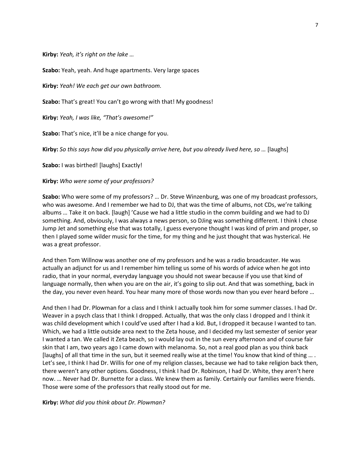**Kirby:** *Yeah, it's right on the lake …*

**Szabo:** Yeah, yeah. And huge apartments. Very large spaces

**Kirby:** *Yeah! We each get our own bathroom.*

**Szabo:** That's great! You can't go wrong with that! My goodness!

**Kirby:** *Yeah, I was like, "That's awesome!"*

**Szabo:** That's nice, it'll be a nice change for you.

**Kirby:** *So this says how did you physically arrive here, but you already lived here, so …* [laughs]

**Szabo:** I was birthed! [laughs] Exactly!

**Kirby:** *Who were some of your professors?*

**Szabo:** Who were some of my professors? … Dr. Steve Winzenburg, was one of my broadcast professors, who was awesome. And I remember we had to DJ, that was the time of albums, not CDs, we're talking albums … Take it on back. [laugh] 'Cause we had a little studio in the comm building and we had to DJ something. And, obviously, I was always a news person, so DJing was something different. I think I chose Jump Jet and something else that was totally, I guess everyone thought I was kind of prim and proper, so then I played some wilder music for the time, for my thing and he just thought that was hysterical. He was a great professor.

And then Tom Willnow was another one of my professors and he was a radio broadcaster. He was actually an adjunct for us and I remember him telling us some of his words of advice when he got into radio, that in your normal, everyday language you should not swear because if you use that kind of language normally, then when you are on the air, it's going to slip out. And that was something, back in the day, you never even heard. You hear many more of those words now than you ever heard before …

And then I had Dr. Plowman for a class and I think I actually took him for some summer classes. I had Dr. Weaver in a psych class that I think I dropped. Actually, that was the only class I dropped and I think it was child development which I could've used after I had a kid. But, I dropped it because I wanted to tan. Which, we had a little outside area next to the Zeta house, and I decided my last semester of senior year I wanted a tan. We called it Zeta beach, so I would lay out in the sun every afternoon and of course fair skin that I am, two years ago I came down with melanoma. So, not a real good plan as you think back [laughs] of all that time in the sun, but it seemed really wise at the time! You know that kind of thing … . Let's see, I think I had Dr. Willis for one of my religion classes, because we had to take religion back then, there weren't any other options. Goodness, I think I had Dr. Robinson, I had Dr. White, they aren't here now. … Never had Dr. Burnette for a class. We knew them as family. Certainly our families were friends. Those were some of the professors that really stood out for me.

**Kirby:** *What did you think about Dr. Plowman?*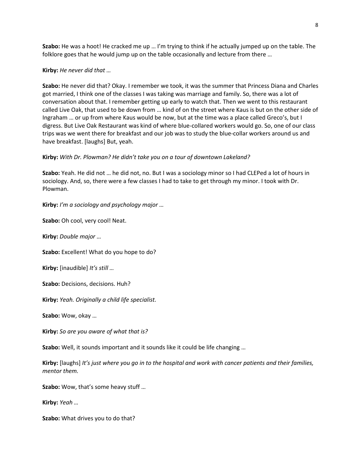**Szabo:** He was a hoot! He cracked me up … I'm trying to think if he actually jumped up on the table. The folklore goes that he would jump up on the table occasionally and lecture from there …

#### **Kirby:** *He never did that …*

**Szabo:** He never did that? Okay. I remember we took, it was the summer that Princess Diana and Charles got married, I think one of the classes I was taking was marriage and family. So, there was a lot of conversation about that. I remember getting up early to watch that. Then we went to this restaurant called Live Oak, that used to be down from … kind of on the street where Kaus is but on the other side of Ingraham … or up from where Kaus would be now, but at the time was a place called Greco's, but I digress. But Live Oak Restaurant was kind of where blue-collared workers would go. So, one of our class trips was we went there for breakfast and our job was to study the blue-collar workers around us and have breakfast. [laughs] But, yeah.

#### **Kirby:** *With Dr. Plowman? He didn't take you on a tour of downtown Lakeland?*

**Szabo:** Yeah. He did not … he did not, no. But I was a sociology minor so I had CLEPed a lot of hours in sociology. And, so, there were a few classes I had to take to get through my minor. I took with Dr. Plowman.

**Kirby:** *I'm a sociology and psychology major …*

**Szabo:** Oh cool, very cool! Neat.

**Kirby:** *Double major …*

**Szabo:** Excellent! What do you hope to do?

**Kirby:** [inaudible] *It's still …*

**Szabo:** Decisions, decisions. Huh?

**Kirby:** *Yeah. Originally a child life specialist.*

**Szabo:** Wow, okay …

**Kirby:** *So are you aware of what that is?*

**Szabo:** Well, it sounds important and it sounds like it could be life changing …

**Kirby:** [laughs] *It's just where you go in to the hospital and work with cancer patients and their families, mentor them.*

**Szabo:** Wow, that's some heavy stuff …

**Kirby:** *Yeah …*

**Szabo:** What drives you to do that?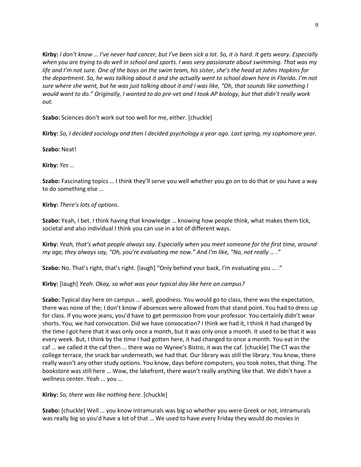**Kirby:** *I don't know … I've never had cancer, but I've been sick a lot. So, it is hard. It gets weary. Especially when you are trying to do well in school and sports. I was very passionate about swimming. That was my life and I'm not sure. One of the boys on the swim team, his sister, she's the head at Johns Hopkins for the department. So, he was talking about it and she actually went to school down here in Florida. I'm not sure where she went, but he was just talking about it and I was like, "Oh, that sounds like something I would want to do." Originally, I wanted to do pre-vet and I took AP biology, but that didn't really work out.*

**Szabo:** Sciences don't work out too well for me, either. [chuckle]

**Kirby:** *So, I decided sociology and then I decided psychology a year ago. Last spring, my sophomore year.*

**Szabo:** Neat!

**Kirby:** *Yes …*

**Szabo:** Fascinating topics … I think they'll serve you well whether you go on to do that or you have a way to do something else …

**Kirby:** *There's lots of options.*

**Szabo:** Yeah, I bet. I think having that knowledge … knowing how people think, what makes them tick, societal and also individual I think you can use in a lot of different ways.

**Kirby:** *Yeah, that's what people always say. Especially when you meet someone for the first time, around my age, they always say, "Oh, you're evaluating me now." And I'm like, "No, not really … ."*

**Szabo:** No. That's right, that's right. [laugh] "Only behind your back, I'm evaluating you … ."

**Kirby:** [laugh] *Yeah. Okay, so what was your typical day like here on campus?*

**Szabo:** Typical day here on campus … well, goodness. You would go to class, there was the expectation, there was none of the; I don't know if absences were allowed from that stand point. You had to dress up for class. If you wore jeans, you'd have to get permission from your professor. You certainly didn't wear shorts. You; we had convocation. Did we have convocation? I think we had it, I think it had changed by the time I got here that it was only once a month, but it was only once a month. It used to be that it was every week. But, I think by the time I had gotten here, it had changed to once a month. You eat in the caf … we called it the caf then … there was no Wynee's Bistro, it was the caf. [chuckle] The CT was the college terrace, the snack bar underneath, we had that. Our library was still the library. You know, there really wasn't any other study options. You know, days before computers, you took notes, that thing. The bookstore was still here … Wow, the lakefront, there wasn't really anything like that. We didn't have a wellness center. Yeah … you …

**Kirby:** *So, there was like nothing here.* [chuckle]

**Szabo:** [chuckle] Well … you know intramurals was big so whether you were Greek or not, intramurals was really big so you'd have a lot of that … We used to have every Friday they would do movies in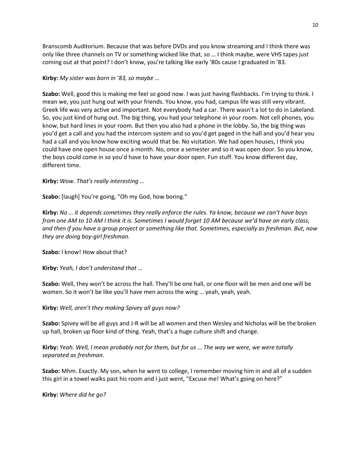Branscomb Auditorium. Because that was before DVDs and you know streaming and I think there was only like three channels on TV or something wicked like that, so … I think maybe, were VHS tapes just coming out at that point? I don't know, you're talking like early '80s cause I graduated in '83.

### **Kirby:** *My sister was born in '83, so maybe …*

**Szabo:** Well, good this is making me feel so good now. I was just having flashbacks. I'm trying to think. I mean we, you just hung out with your friends. You know, you had, campus life was still very vibrant. Greek life was very active and important. Not everybody had a car. There wasn't a lot to do in Lakeland. So, you just kind of hung out. The big thing, you had your telephone in your room. Not cell phones, you know, but hard lines in your room. But then you also had a phone in the lobby. So, the big thing was you'd get a call and you had the intercom system and so you'd get paged in the hall and you'd hear you had a call and you know how exciting would that be. No visitation. We had open houses, I think you could have one open house once a month. No, once a semester and so it was open door. So you know, the boys could come in so you'd have to have your door open. Fun stuff. You know different day, different time.

## **Kirby:** *Wow. That's really interesting …*

**Szabo:** [laugh] You're going, "Oh my God, how boring."

**Kirby:** *No … it depends sometimes they really enforce the rules. Ya know, because we can't have boys from one AM to 10 AM I think it is. Sometimes I would forget 10 AM because we'd have an early class, and then if you have a group project or something like that. Sometimes, especially as freshman. But, now they are doing boy-girl freshman.*

**Szabo:** I know! How about that?

**Kirby:** *Yeah, I don't understand that …*

**Szabo:** Well, they won't be across the hall. They'll be one hall, or one floor will be men and one will be women. So it won't be like you'll have men across the wing … yeah, yeah, yeah.

**Kirby:** *Well, aren't they making Spivey all guys now?*

**Szabo:** Spivey will be all guys and J-R will be all women and then Wesley and Nicholas will be the broken up hall, broken up floor kind of thing. Yeah, that's a huge culture shift and change.

**Kirby:** *Yeah. Well, I mean probably not for them, but for us … The way we were, we were totally separated as freshman.*

**Szabo:** Mhm. Exactly. My son, when he went to college, I remember moving him in and all of a sudden this girl in a towel walks past his room and I just went, "Excuse me! What's going on here?"

**Kirby:** *Where did he go?*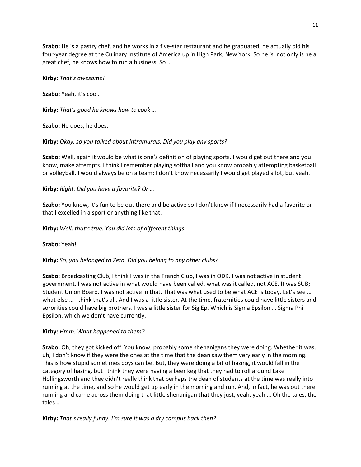**Szabo:** He is a pastry chef, and he works in a five-star restaurant and he graduated, he actually did his four-year degree at the Culinary Institute of America up in High Park, New York. So he is, not only is he a great chef, he knows how to run a business. So …

**Kirby:** *That's awesome!*

**Szabo:** Yeah, it's cool.

**Kirby:** *That's good he knows how to cook …*

**Szabo:** He does, he does.

**Kirby:** *Okay, so you talked about intramurals. Did you play any sports?*

**Szabo:** Well, again it would be what is one's definition of playing sports. I would get out there and you know, make attempts. I think I remember playing softball and you know probably attempting basketball or volleyball. I would always be on a team; I don't know necessarily I would get played a lot, but yeah.

**Kirby:** *Right. Did you have a favorite? Or …*

**Szabo:** You know, it's fun to be out there and be active so I don't know if I necessarily had a favorite or that I excelled in a sport or anything like that.

**Kirby:** *Well, that's true. You did lots of different things.*

**Szabo:** Yeah!

**Kirby:** *So, you belonged to Zeta. Did you belong to any other clubs?*

**Szabo:** Broadcasting Club, I think I was in the French Club, I was in ODK. I was not active in student government. I was not active in what would have been called, what was it called, not ACE. It was SUB; Student Union Board. I was not active in that. That was what used to be what ACE is today. Let's see … what else … I think that's all. And I was a little sister. At the time, fraternities could have little sisters and sororities could have big brothers. I was a little sister for Sig Ep. Which is Sigma Epsilon … Sigma Phi Epsilon, which we don't have currently.

## **Kirby:** *Hmm. What happened to them?*

**Szabo:** Oh, they got kicked off. You know, probably some shenanigans they were doing. Whether it was, uh, I don't know if they were the ones at the time that the dean saw them very early in the morning. This is how stupid sometimes boys can be. But, they were doing a bit of hazing, it would fall in the category of hazing, but I think they were having a beer keg that they had to roll around Lake Hollingsworth and they didn't really think that perhaps the dean of students at the time was really into running at the time, and so he would get up early in the morning and run. And, in fact, he was out there running and came across them doing that little shenanigan that they just, yeah, yeah … Oh the tales, the tales … .

**Kirby:** *That's really funny. I'm sure it was a dry campus back then?*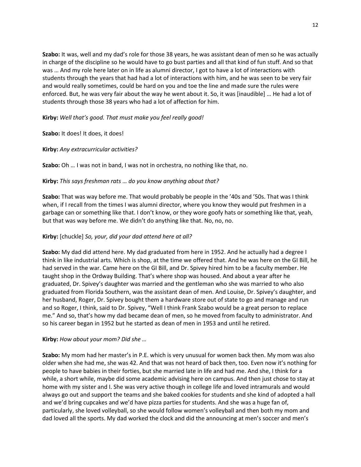**Szabo:** It was, well and my dad's role for those 38 years, he was assistant dean of men so he was actually in charge of the discipline so he would have to go bust parties and all that kind of fun stuff. And so that was … And my role here later on in life as alumni director, I got to have a lot of interactions with students through the years that had had a lot of interactions with him, and he was seen to be very fair and would really sometimes, could be hard on you and toe the line and made sure the rules were enforced. But, he was very fair about the way he went about it. So, it was [inaudible] … He had a lot of students through those 38 years who had a lot of affection for him.

**Kirby:** *Well that's good. That must make you feel really good!*

**Szabo:** It does! It does, it does!

**Kirby:** *Any extracurricular activities?*

**Szabo:** Oh … I was not in band, I was not in orchestra, no nothing like that, no.

# **Kirby:** *This says freshman rats … do you know anything about that?*

**Szabo:** That was way before me. That would probably be people in the '40s and '50s. That was I think when, if I recall from the times I was alumni director, where you know they would put freshmen in a garbage can or something like that. I don't know, or they wore goofy hats or something like that, yeah, but that was way before me. We didn't do anything like that. No, no, no.

## **Kirby:** [chuckle] *So, your, did your dad attend here at all?*

**Szabo:** My dad did attend here. My dad graduated from here in 1952. And he actually had a degree I think in like industrial arts. Which is shop, at the time we offered that. And he was here on the GI Bill, he had served in the war. Came here on the GI Bill, and Dr. Spivey hired him to be a faculty member. He taught shop in the Ordway Building. That's where shop was housed. And about a year after he graduated, Dr. Spivey's daughter was married and the gentleman who she was married to who also graduated from Florida Southern, was the assistant dean of men. And Louise, Dr. Spivey's daughter, and her husband, Roger, Dr. Spivey bought them a hardware store out of state to go and manage and run and so Roger, I think, said to Dr. Spivey, "Well I think Frank Szabo would be a great person to replace me." And so, that's how my dad became dean of men, so he moved from faculty to administrator. And so his career began in 1952 but he started as dean of men in 1953 and until he retired.

## **Kirby:** *How about your mom? Did she …*

**Szabo:** My mom had her master's in P.E. which is very unusual for women back then. My mom was also older when she had me, she was 42. And that was not heard of back then, too. Even now it's nothing for people to have babies in their forties, but she married late in life and had me. And she, I think for a while, a short while, maybe did some academic advising here on campus. And then just chose to stay at home with my sister and I. She was very active though in college life and loved intramurals and would always go out and support the teams and she baked cookies for students and she kind of adopted a hall and we'd bring cupcakes and we'd have pizza parties for students. And she was a huge fan of, particularly, she loved volleyball, so she would follow women's volleyball and then both my mom and dad loved all the sports. My dad worked the clock and did the announcing at men's soccer and men's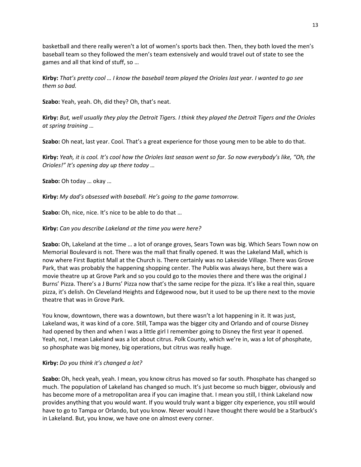basketball and there really weren't a lot of women's sports back then. Then, they both loved the men's baseball team so they followed the men's team extensively and would travel out of state to see the games and all that kind of stuff, so …

**Kirby:** *That's pretty cool … I know the baseball team played the Orioles last year. I wanted to go see them so bad.*

**Szabo:** Yeah, yeah. Oh, did they? Oh, that's neat.

**Kirby:** *But, well usually they play the Detroit Tigers. I think they played the Detroit Tigers and the Orioles at spring training …*

**Szabo:** Oh neat, last year. Cool. That's a great experience for those young men to be able to do that.

**Kirby:** *Yeah, it is cool. It's cool how the Orioles last season went so far. So now everybody's like, "Oh, the Orioles!" It's opening day up there today …*

**Szabo:** Oh today … okay …

**Kirby:** *My dad's obsessed with baseball. He's going to the game tomorrow.*

**Szabo:** Oh, nice, nice. It's nice to be able to do that …

**Kirby:** *Can you describe Lakeland at the time you were here?*

**Szabo:** Oh, Lakeland at the time … a lot of orange groves, Sears Town was big. Which Sears Town now on Memorial Boulevard is not. There was the mall that finally opened. It was the Lakeland Mall, which is now where First Baptist Mall at the Church is. There certainly was no Lakeside Village. There was Grove Park, that was probably the happening shopping center. The Publix was always here, but there was a movie theatre up at Grove Park and so you could go to the movies there and there was the original J Burns' Pizza. There's a J Burns' Pizza now that's the same recipe for the pizza. It's like a real thin, square pizza, it's delish. On Cleveland Heights and Edgewood now, but it used to be up there next to the movie theatre that was in Grove Park.

You know, downtown, there was a downtown, but there wasn't a lot happening in it. It was just, Lakeland was, it was kind of a core. Still, Tampa was the bigger city and Orlando and of course Disney had opened by then and when I was a little girl I remember going to Disney the first year it opened. Yeah, not, I mean Lakeland was a lot about citrus. Polk County, which we're in, was a lot of phosphate, so phosphate was big money, big operations, but citrus was really huge.

#### **Kirby:** *Do you think it's changed a lot?*

**Szabo:** Oh, heck yeah, yeah. I mean, you know citrus has moved so far south. Phosphate has changed so much. The population of Lakeland has changed so much. It's just become so much bigger, obviously and has become more of a metropolitan area if you can imagine that. I mean you still, I think Lakeland now provides anything that you would want. If you would truly want a bigger city experience, you still would have to go to Tampa or Orlando, but you know. Never would I have thought there would be a Starbuck's in Lakeland. But, you know, we have one on almost every corner.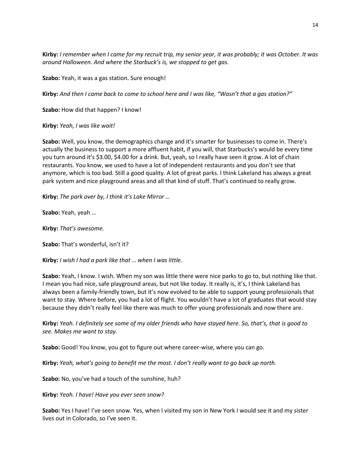**Kirby:** *I remember when I came for my recruit trip, my senior year, it was probably; it was October. It was around Halloween. And where the Starbuck's is, we stopped to get gas.*

**Szabo:** Yeah, it was a gas station. Sure enough!

**Kirby:** *And then I came back to come to school here and I was like, "Wasn't that a gas station?"*

**Szabo:** How did that happen? I know!

**Kirby:** *Yeah, I was like wait!*

**Szabo:** Well, you know, the demographics change and it's smarter for businesses to come in. There's actually the business to support a more affluent habit, if you will, that Starbucks's would be every time you turn around it's \$3.00, \$4.00 for a drink. But, yeah, so I really have seen it grow. A lot of chain restaurants. You know, we used to have a lot of independent restaurants and you don't see that anymore, which is too bad. Still a good quality. A lot of great parks. I think Lakeland has always a great park system and nice playground areas and all that kind of stuff. That's continued to really grow.

**Kirby:** *The park over by, I think it's Lake Mirror …*

**Szabo:** Yeah, yeah …

**Kirby:** *That's awesome.*

**Szabo:** That's wonderful, isn't it?

**Kirby:** *I wish I had a park like that … when I was little.*

**Szabo:** Yeah, I know. I wish. When my son was little there were nice parks to go to, but nothing like that. I mean you had nice, safe playground areas, but not like today. It really is, it's, I think Lakeland has always been a family-friendly town, but it's now evolved to be able to support young professionals that want to stay. Where before, you had a lot of flight. You wouldn't have a lot of graduates that would stay because they didn't really feel like there was much to offer young professionals and now there are.

**Kirby:** *Yeah. I definitely see some of my older friends who have stayed here. So, that's, that is good to see. Makes me want to stay.*

**Szabo:** Good! You know, you got to figure out where career-wise, where you can go.

**Kirby:** *Yeah, what's going to benefit me the most. I don't really want to go back up north.*

**Szabo:** No, you've had a touch of the sunshine, huh?

**Kirby:** *Yeah. I have! Have you ever seen snow?*

**Szabo:** Yes I have! I've seen snow. Yes, when I visited my son in New York I would see it and my sister lives out in Colorado, so I've seen it.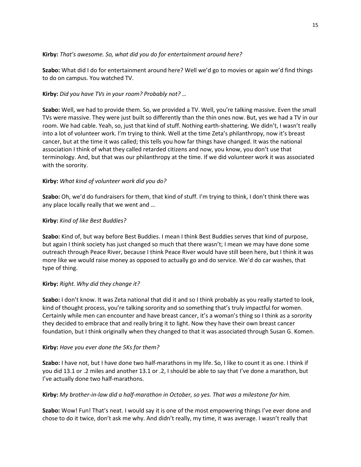## **Kirby:** *That's awesome. So, what did you do for entertainment around here?*

**Szabo:** What did I do for entertainment around here? Well we'd go to movies or again we'd find things to do on campus. You watched TV.

# **Kirby:** *Did you have TVs in your room? Probably not? …*

**Szabo:** Well, we had to provide them. So, we provided a TV. Well, you're talking massive. Even the small TVs were massive. They were just built so differently than the thin ones now. But, yes we had a TV in our room. We had cable. Yeah, so, just that kind of stuff. Nothing earth-shattering. We didn't, I wasn't really into a lot of volunteer work. I'm trying to think. Well at the time Zeta's philanthropy, now it's breast cancer, but at the time it was called; this tells you how far things have changed. It was the national association I think of what they called retarded citizens and now, you know, you don't use that terminology. And, but that was our philanthropy at the time. If we did volunteer work it was associated with the sorority.

# **Kirby:** *What kind of volunteer work did you do?*

**Szabo:** Oh, we'd do fundraisers for them, that kind of stuff. I'm trying to think, I don't think there was any place locally really that we went and …

# **Kirby:** *Kind of like Best Buddies?*

**Szabo:** Kind of, but way before Best Buddies. I mean I think Best Buddies serves that kind of purpose, but again I think society has just changed so much that there wasn't; I mean we may have done some outreach through Peace River, because I think Peace River would have still been here, but I think it was more like we would raise money as opposed to actually go and do service. We'd do car washes, that type of thing.

## **Kirby:** *Right. Why did they change it?*

**Szabo:** I don't know. It was Zeta national that did it and so I think probably as you really started to look, kind of thought process, you're talking sorority and so something that's truly impactful for women. Certainly while men can encounter and have breast cancer, it's a woman's thing so I think as a sorority they decided to embrace that and really bring it to light. Now they have their own breast cancer foundation, but I think originally when they changed to that it was associated through Susan G. Komen.

## **Kirby:** *Have you ever done the 5Ks for them?*

**Szabo:** I have not, but I have done two half-marathons in my life. So, I like to count it as one. I think if you did 13.1 or .2 miles and another 13.1 or .2, I should be able to say that I've done a marathon, but I've actually done two half-marathons.

## **Kirby:** *My brother-in-law did a half-marathon in October, so yes. That was a milestone for him.*

**Szabo:** Wow! Fun! That's neat. I would say it is one of the most empowering things I've ever done and chose to do it twice, don't ask me why. And didn't really, my time, it was average. I wasn't really that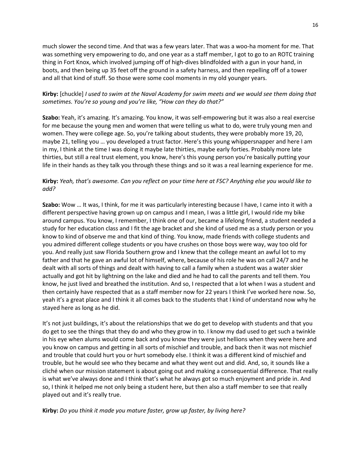much slower the second time. And that was a few years later. That was a woo-ha moment for me. That was something very empowering to do, and one year as a staff member, I got to go to an ROTC training thing in Fort Knox, which involved jumping off of high-dives blindfolded with a gun in your hand, in boots, and then being up 35 feet off the ground in a safety harness, and then repelling off of a tower and all that kind of stuff. So those were some cool moments in my old younger years.

# **Kirby:** [chuckle] *I used to swim at the Naval Academy for swim meets and we would see them doing that sometimes. You're so young and you're like, "How can they do that?"*

**Szabo:** Yeah, it's amazing. It's amazing. You know, it was self-empowering but it was also a real exercise for me because the young men and women that were telling us what to do, were truly young men and women. They were college age. So, you're talking about students, they were probably more 19, 20, maybe 21, telling you … you developed a trust factor. Here's this young whippersnapper and here I am in my, I think at the time I was doing it maybe late thirties, maybe early forties. Probably more late thirties, but still a real trust element, you know, here's this young person you're basically putting your life in their hands as they talk you through these things and so it was a real learning experience for me.

# **Kirby:** *Yeah, that's awesome. Can you reflect on your time here at FSC? Anything else you would like to add?*

**Szabo:** Wow … It was, I think, for me it was particularly interesting because I have, I came into it with a different perspective having grown up on campus and I mean, I was a little girl, I would ride my bike around campus. You know, I remember, I think one of our, became a lifelong friend, a student needed a study for her education class and I fit the age bracket and she kind of used me as a study person or you know to kind of observe me and that kind of thing. You know, made friends with college students and you admired different college students or you have crushes on those boys were way, way too old for you. And really just saw Florida Southern grow and I knew that the college meant an awful lot to my father and that he gave an awful lot of himself, where, because of his role he was on call 24/7 and he dealt with all sorts of things and dealt with having to call a family when a student was a water skier actually and got hit by lightning on the lake and died and he had to call the parents and tell them. You know, he just lived and breathed the institution. And so, I respected that a lot when I was a student and then certainly have respected that as a staff member now for 22 years I think I've worked here now. So, yeah it's a great place and I think it all comes back to the students that I kind of understand now why he stayed here as long as he did.

It's not just buildings, it's about the relationships that we do get to develop with students and that you do get to see the things that they do and who they grow in to. I know my dad used to get such a twinkle in his eye when alums would come back and you know they were just hellions when they were here and you know on campus and getting in all sorts of mischief and trouble, and back then it was not mischief and trouble that could hurt you or hurt somebody else. I think it was a different kind of mischief and trouble, but he would see who they became and what they went out and did. And, so, it sounds like a cliché when our mission statement is about going out and making a consequential difference. That really is what we've always done and I think that's what he always got so much enjoyment and pride in. And so, I think it helped me not only being a student here, but then also a staff member to see that really played out and it's really true.

**Kirby:** *Do you think it made you mature faster, grow up faster, by living here?*